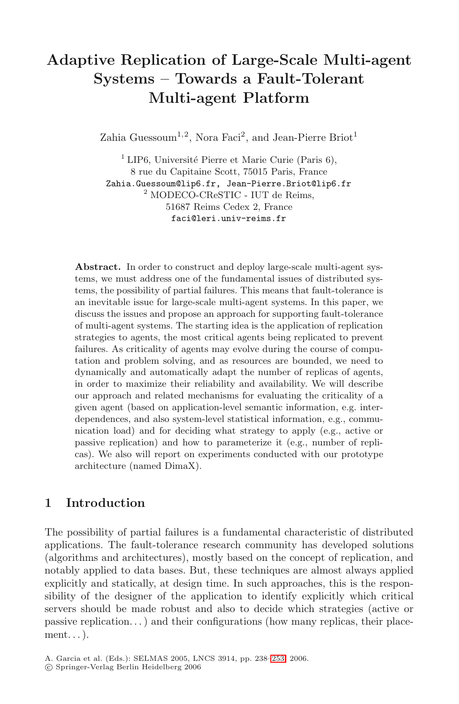# **Adaptive Replication of Large-Scale Multi-agent Systems – Towards a Fault-Tolerant Multi-agent Platform**

Zahia Guessoum<sup>1,2</sup>, Nora Faci<sup>2</sup>, and Jean-Pierre Briot<sup>1</sup>

<sup>1</sup> LIP6, Université Pierre et Marie Curie (Paris 6), 8 rue du Capitaine Scott, 75015 Paris, France Zahia.Guessoum@lip6.fr, Jean-Pierre.Briot@lip6.fr <sup>2</sup> MODECO-CReSTIC - IUT de Reims, 51687 Reims Cedex 2, France faci@leri.univ-reims.fr

**Abstract.** In order to construct and deploy large-scale multi-agent systems, we must address one of the fundamental issues of distributed systems, the possibility of partial failures. This means that fault-tolerance is an inevitable issue for large-scale multi-agent systems. In this paper, we discuss the issues and propose an approach for supporting fault-tolerance of multi-agent systems. The starting idea is the application of replication strategies to agents, the most critical agents being replicated to prevent failures. As criticality of agents may evolve during the course of computation and problem solving, and as resources are bounded, we need to dynamically and automatically adapt the number of replicas of agents, in order to maximize their reliability and availability. We will describe our approach and related mechanisms for evaluating the criticality of a given agent (based on application-level semantic information, e.g. interdependences, and also system-level statistical information, e.g., communication load) and for deciding what strategy to apply (e.g., active or passive replication) and how to parameterize it (e.g., number of replicas). We also will report on experiments conducted with our prototype architecture (named DimaX).

# **1 Introduction**

The possibility of partial failures is a fundamental characteristic of distributed applications. The fault-tolerance research community has developed solutions (algorithms and architectures[\), m](#page-14-0)ostly based on the concept of replication, and notably applied to data bases. But, these techniques are almost always applied explicitly and statically, at design time. In such approaches, this is the responsibility of the designer of the application to identify explicitly which critical servers should be made robust and also to decide which strategies (active or passive replication.. . ) and their configurations (how many replicas, their placement. . . ).

A. Garcia et al. (Eds.): SELMAS 2005, LNCS 3914, pp. 238–253, 2006.

c Springer-Verlag Berlin Heidelberg 2006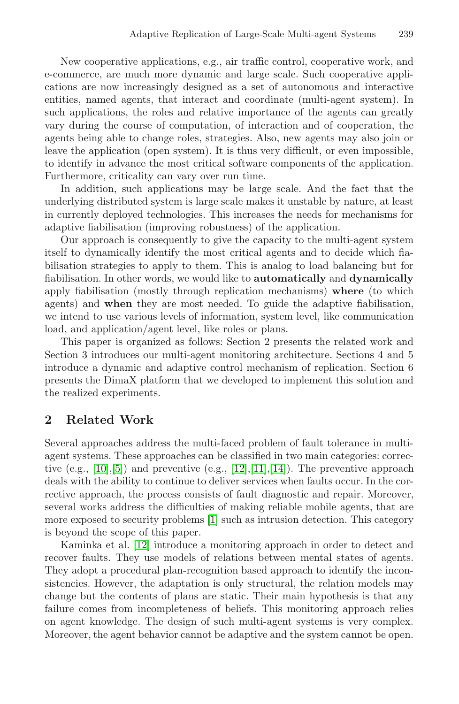New cooperative applications, e.g., air traffic control, cooperative work, and e-commerce, are much more dynamic and large scale. Such cooperative applications are now increasingly designed as a set of autonomous and interactive entities, named agents, that interact and coordinate (multi-agent system). In such applications, the roles and relative importance of the agents can greatly vary during the course of computation, of interaction and of cooperation, the agents being able to change roles, strategies. Also, new agents may also join or leave the application (open system). It is thus very difficult, or even impossible, to identify in advance the most critical software components of the application. Furthermore, criticality can vary over run time.

In addition, such applications may be large scale. And the fact that the underlying distributed system is large scale makes it unstable by nature, at least in currently deployed technologies. This increases the needs for mechanisms for adaptive fiabilisation (improving robustness) of the application.

Our approach is consequently to give the capacity to the multi-agent system itself to dynamically identify the most critical agents and to decide which fiabilisation strategies to apply to them. This is analog to load balancing but for fiabilisation. In other words, we would like to **automatically** and **dynamically** apply fiabilisation (mostly through replication mechanisms) **where** (to which agents) and **when** they are most needed. To guide the adaptive fiabilisation, we intend to use various levels of information, system level, like communication load, and application/agent level, like roles or plans.

This paper is organized as follows: Section 2 presents the related work and Section 3 introduces our multi-agent monitoring architecture. Sections 4 and 5 introduce a dynamic [and](#page-14-1) [ad](#page-14-2)a[ptiv](#page-15-0)e control mechanism of replication. Section 6 presents the DimaX platform that we developed to implement this solution and the realized experiments.

# **2 Related [W](#page-14-3)ork**

[Sev](#page-14-1)eral approaches address the multi-faced problem of fault tolerance in multiagent systems. These approaches can be classified in two main categories: corrective (e.g.,  $[10],[5]$ ) and preventive (e.g.,  $[12],[11],[14]$ ). The preventive approach deals with the ability to continue to deliver services when faults occur. In the corrective approach, the process consists of fault diagnostic and repair. Moreover, several works address the difficulties of making reliable mobile agents, that are more exposed to security problems [1] such as intrusion detection. This category is beyond the scope of this paper.

Kaminka et al. [12] introduce a monitoring approach in order to detect and recover faults. They use models of relations between mental states of agents. They adopt a procedural plan-recognition based approach to identify the inconsistencies. However, the adaptation is only structural, the relation models may change but the contents of plans are static. Their main hypothesis is that any failure comes from incompleteness of beliefs. This monitoring approach relies on agent knowledge. The design of such multi-agent systems is very complex. Moreover, the agent behavior cannot be adaptive and the system cannot be open.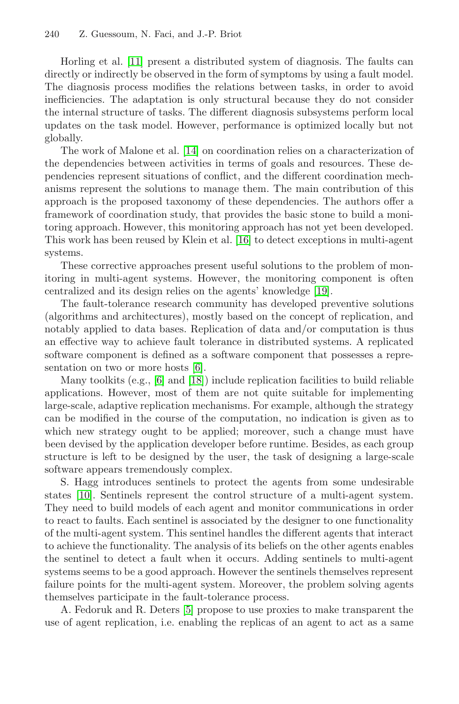Horling [et](#page-15-0) al. [11] present a distributed system of diagnosis. The faults can directly or indirectly be observed in the form of symptoms by using a fault model. The diagnosis process modifies the relations between tasks, in order to avoid inefficiencies. The adaptation is only structural because they do not consider the internal structure of tasks. The different diagnosis subsystems perform local updates on the task model. However, performance is optimized locally but not globally.

The work of Malon[e](#page-15-1) [et](#page-15-1) al. [14] on coordination relies on a characterization of the dependencies between activities in terms of goals and resources. These dependencies represent situations of conflict, and the different coordination mechanisms represent the solutions to man[age](#page-15-2) them. The main contribution of this approach is the proposed taxonomy of these dependencies. The authors offer a framework of coordination study, that provides the basic stone to build a monitoring approach. However, this monitoring approach has not yet been developed. This work has been reused by Klein et al. [16] to detect exceptions in multi-agent systems.

These cor[re](#page-14-4)ctive approaches present useful solutions to the problem of monitori[ng](#page-14-4) in [mult](#page-15-3)i-agent systems. However, the monitoring component is often centralized and its design relies on the agents' knowledge [19].

The fault-tolerance research community has developed preventive solutions (algorithms and architectures), mostly based on the concept of replication, and notably applied to data bases. Replication of data and/or computation is thus an effective way to achieve fault tolerance in distributed systems. A replicated software component is defined as a software component that possesses a representation on two or more hosts [6].

Many toolkits (e.g., [6] and [18]) include replication facilities to build reliable applications. However, most of them are not quite suitable for implementing large-scale, adaptive replication mechanisms. For example, although the strategy can be modified in the course of the computation, no indication is given as to which new strategy ought to be applied; moreover, such a change must have been devised by the application developer before runtime. Besides, as each group structure is left to be designed by the user, the task of designing a large-scale software appears tremendously complex.

S. Hagg introduces sentinels to protect the agents from some undesirable states [10]. Sentinels represent the control structure of a multi-agent system. They need [to](#page-14-5) build models of each agent and monitor communications in order to react to faults. Each sentinel is associated by the designer to one functionality of the multi-agent system. This sentinel handles the different agents that interact to achieve the functionality. The analysis of its beliefs on the other agents enables the sentinel to detect a fault when it occurs. Adding sentinels to multi-agent systems seems to be a good approach. However the sentinels themselves represent failure points for the multi-agent system. Moreover, the problem solving agents themselves participate in the fault-tolerance process.

A. Fedoruk and R. Deters [5] propose to use proxies to make transparent the use of agent replication, i.e. enabling the replicas of an agent to act as a same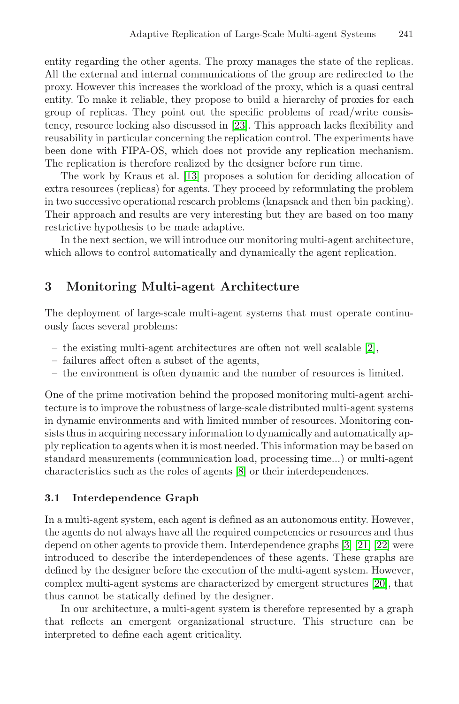entity regarding the other agents. The proxy manages the state of the replicas. All the ext[erna](#page-14-6)l and internal communications of the group are redirected to the proxy. However this increases the workload of the proxy, which is a quasi central entity. To make it reliable, they propose to build a hierarchy of proxies for each group of replicas. They point out the specific problems of read/write consistency, resource locking also discussed in [23]. This approach lacks flexibility and reusability in particular concerning the replication control. The experiments have been done with FIPA-OS, which does not provide any replication mechanism. The replication is therefore realized by the designer before run time.

The work by Kraus et al. [13] proposes a solution for deciding allocation of extra resources (replicas) for agents. They proceed by reformulating the problem in two successive operational research problems (knapsack and then bin packing). Their approach and results are very interesting but they are based on too many restrictive hypothesis to be made adaptive.

In the next section, we will introduce our monitoring multi-agent architecture, which allows to control automati[cal](#page-14-7)ly and dynamically the agent replication.

# **3 Monitoring Multi-agent Architecture**

The deployment of large-scale multi-agent systems that must operate continuously faces several problems:

- the existing multi-agent architectures are often not well scalable [2],
- failures affect often a subset of the agents,
- the environment i[s o](#page-14-8)ften dynamic and the number of resources is limited.

One of the prime motivation behind the proposed monitoring multi-agent architecture is to improve the robustness of large-scale distributed multi-agent systems in dynamic environments and with limited number of resources. Monitoring consists thus in acquiring necessary information to dynamically and automatically apply replication to agents when it is most neede[d. T](#page-14-9)[his](#page-15-5) i[nfo](#page-15-6)rmation may be based on standard measurements (communication load, processing time...) or multi-agent characteristics such as the roles of agents [8] or their interdependences.

### **3.1 Interdependence Graph**

In a multi-agent system, each agent is defined as an autonomous entity. However, the agents do not always have all the required competencies or resources and thus depend on other agents to provide them. Interdependence graphs [3] [21] [22] were introduced to describe the interdependences of these agents. These graphs are defined by the designer before the execution of the multi-agent system. However, complex multi-agent systems are characterized by emergent structures [20], that thus cannot be statically defined by the designer.

In our architecture, a multi-agent system is therefore represented by a graph that reflects an emergent organizational structure. This structure can be interpreted to define each agent criticality.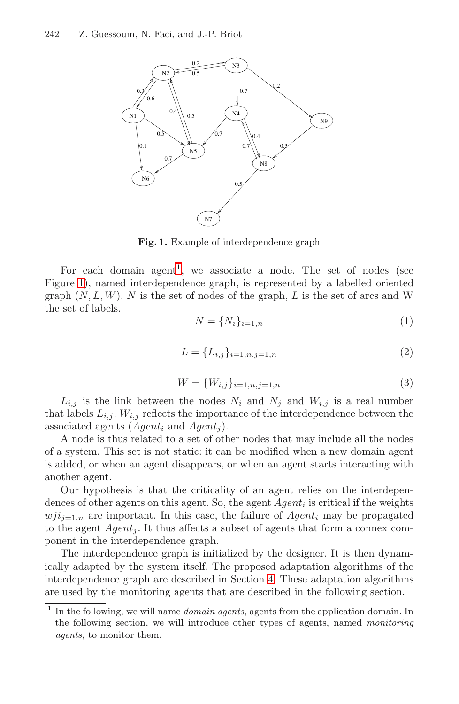

**Fig. 1.** Example of interdependence graph

For each domain agent<sup>1</sup>, we associate a node. The set of nodes (see Figure 1), named interdependence graph, is represented by a labelled oriented graph  $(N, L, W)$ . N is the set of nodes of the graph, L is the set of arcs and W the set of labels.

$$
N = \{N_i\}_{i=1,n} \tag{1}
$$

$$
L = \{L_{i,j}\}_{i=1,n,j=1,n} \tag{2}
$$

$$
W = \{W_{i,j}\}_{i=1,n,j=1,n}
$$
\n(3)

 $L_{i,j}$  is the link between the nodes  $N_i$  and  $N_j$  and  $W_{i,j}$  is a real number that labels  $L_{i,j}$ .  $W_{i,j}$  reflects the importance of the interdependence between the associated agents  $(Agent_i \text{ and } Agent_i).$ 

A node is thus related to a set of other nodes that may include all the nodes of a system. This set is not static: it can be modified when a new domain agent is added, or when an agent disappears, or when an agent starts interacting with another agent.

Our hypothesis is that t[he](#page-6-0) criticality of an agent relies on the interdependences of other agents on this agent. So, the agent  $Agent_i$  is critical if the weights  $wji_{i=1,n}$  are important. In this case, the failure of  $Agent_i$  may be propagated to the agent  $Agent_i$ . It thus affects a subset of agents that form a connex component in the interdependence graph.

The interdependence graph is initialized by the designer. It is then dynamically adapted by the system itself. The proposed adaptation algorithms of the interdependence graph are described in Section 4. These adaptation algorithms are used by the monitoring agents that are described in the following section.

 $1$  In the following, we will name *domain agents*, agents from the application domain. In the following section, we will introduce other types of agents, named monitoring agents, to monitor them.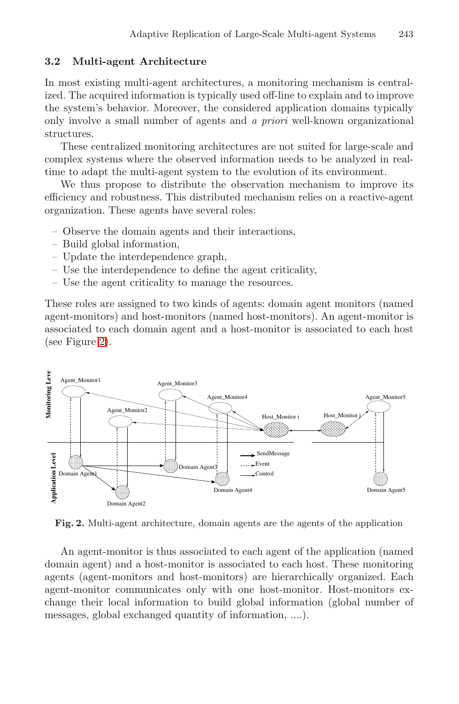# **3.2 Multi-agent Architecture**

In most existing multi-agent architectures, a monitoring mechanism is centralized. The acquired information is typically used off-line to explain and to improve the system's behavior. Moreover, the considered application domains typically only involve a small number of agents and a priori well-known organizational structures.

These centralized monitoring architectures are not suited for large-scale and complex systems where the observed information needs to be analyzed in realtime to adapt the multi-agent system to the evolution of its environment.

We thus propose to distribute the observation mechanism to improve its efficiency and robustness. This distributed mechanism relies on a reactive-agent organization. These agents have several roles:

- Observe the domain agents and their interactions,
- Build global information,
- Update the interdependence graph,
- Use the interdependence to define the agent criticality,
- Use the agent criticality to manage the resources.

These roles are assigned to two kinds of agents: domain agent monitors (named agent-monitors) and host-monitors (named host-monitors). An agent-monitor is associated to each domain agent and a host-monitor is associated to each host (see Figure 2).



**Fig. 2.** Multi-agent architecture, domain agents are the agents of the application

An agent-monitor is thus associated to each agent of the application (named domain agent) and a host-monitor is associated to each host. These monitoring agents (agent-monitors and host-monitors) are hierarchically organized. Each agent-monitor communicates only with one host-monitor. Host-monitors exchange their local information to build global information (global number of messages, global exchanged quantity of information, ....).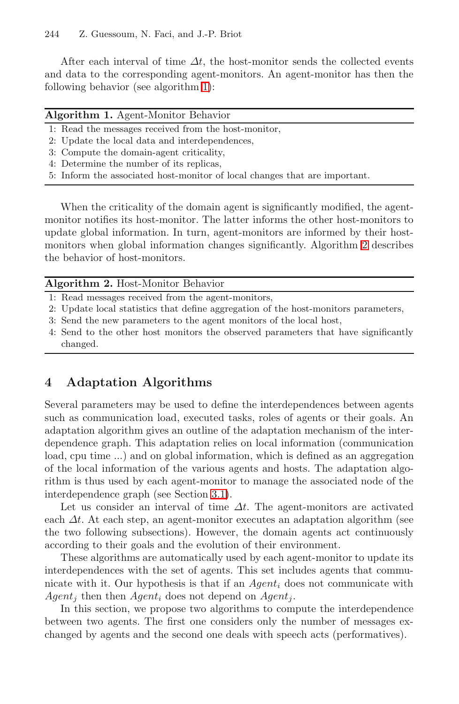After each interval of time  $\Delta t$ , the host-monitor sends the collected events and data to the corresponding agent-monitors. An agent-monitor has then the following behavior (see algorithm 1):

**Algorithm 1.** Agent-Monitor Behavior

- 1: Read the messages received from the host-monitor,
- 2: Update the local data and interdependences,
- 3: Compute the domain-agent criticality,
- 4: Determine the number of its replicas,
- 5: Inform the associated host-monitor of local changes that are important.

When the criticality of the domain agent is significantly modified, the agentmonitor notifies its host-monitor. The latter informs the other host-monitors to update global information. In turn, agent-monitors are informed by their hostmonitors when global information changes significantly. Algorithm 2 describes the behavior of host-monitors.

<span id="page-6-0"></span>

- 1: Read messages received from the agent-monitors,
- 2: Update local statistics that define aggregation of the host-monitors parameters,
- 3: Send the new parameters to the agent monitors of the local host,
- 4: Send to the other host monitors the observed parameters that have significantly changed.

# **4 Adaptation Algorithms**

Several parameters may be used to define the interdependences between agents such as communication load, executed tasks, roles of agents or their goals. An adaptation algorithm gives an outline of the adaptation mechanism of the interdependence graph. This adaptation relies on local information (communication load, cpu time ...) and on global information, which is defined as an aggregation of the local information of the various agents and hosts. The adaptation algorithm is thus used by each agent-monitor to manage the associated node of the interdependence graph (see Section 3.1).

Let us consider an interval of time  $\Delta t$ . The agent-monitors are activated each  $\Delta t$ . At each step, an agent-monitor executes an adaptation algorithm (see the two following subsections). However, the domain agents act continuously according to their goals and the evolution of their environment.

These algorithms are automatically used by each agent-monitor to update its interdependences with the set of agents. This set includes agents that communicate with it. Our hypothesis is that if an  $Agent_i$  does not communicate with Agent<sub>i</sub> then then Agent<sub>i</sub> does not depend on Agent<sub>i</sub>.

In this section, we propose two algorithms to compute the interdependence between two agents. The first one considers only the number of messages exchanged by agents and the second one deals with speech acts (performatives).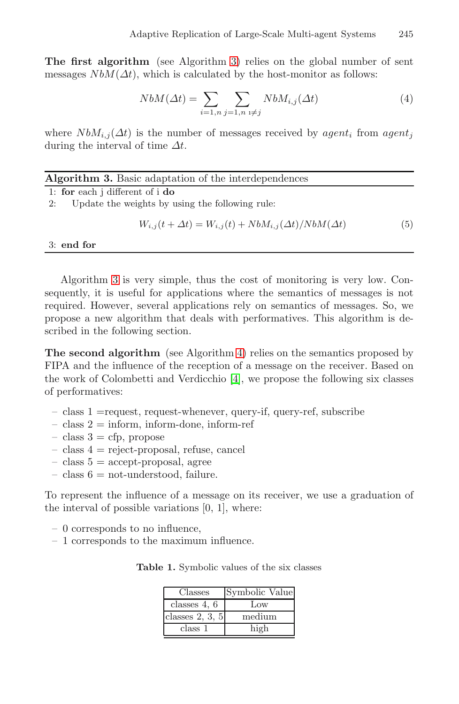The first algorithm (see Algorithm 3) relies on the global number of sent messages  $NbM(\Delta t)$ , which is calculated by the host-monitor as follows:

$$
NbM(\Delta t) = \sum_{i=1, n} \sum_{j=1, n} NbM_{i,j}(\Delta t)
$$
\n(4)

where  $NbM_{i,j}(\Delta t)$  is the number of messages received by agent<sub>i</sub> from agent<sub>i</sub> during the interval of time  $\Delta t$ .

| <b>Algorithm 3.</b> Basic adaptation of the interdependences           |                   |  |  |
|------------------------------------------------------------------------|-------------------|--|--|
| 1: for each i different of $\mathbf{i}$ do                             |                   |  |  |
| Update the weights by using the following rule:<br>2:                  |                   |  |  |
| $W_{i,j}(t+\Delta t) = W_{i,j}(t) + NbM_{i,j}(\Delta t)/NbM(\Delta t)$ | $\left( 5\right)$ |  |  |
| 3: end for                                                             |                   |  |  |

Algorithm 3 is v[ery](#page-14-10) simple, thus the cost of monitoring is very low. Consequently, it is useful for applications where the semantics of messages is not required. However, several applications rely on semantics of messages. So, we propose a new algorithm that deals with performatives. This algorithm is described in the following section.

**The second algorithm** (see Algorithm 4) relies on the semantics proposed by FIPA and the influence of the reception of a message on the receiver. Based on the work of Colombetti and Verdicchio [4], we propose the following six classes of performatives:

- class 1 =request, request-whenever, query-if, query-ref, subscribe
- class 2 = inform, inform-done, inform-ref
- $-$  class  $3 =$  cfp, propose
- $-$  class  $4 =$  reject-proposal, refuse, cancel
- $-$  class  $5 =$  accept-proposal, agree
- $-$  class  $6 =$  not-understood, failure.

To represent the influence of a message on its receiver, we use a graduation of the interval of possible variations [0, 1], where:

- 0 corresponds to no influence,
- 1 corresponds to the maximum influence.

**Table 1.** Symbolic values of the six classes

| Classes           | Symbolic Value  |
|-------------------|-----------------|
| classes $4, 6$    | $_{\text{Low}}$ |
| classes $2, 3, 5$ | medium          |
| class 1           | high            |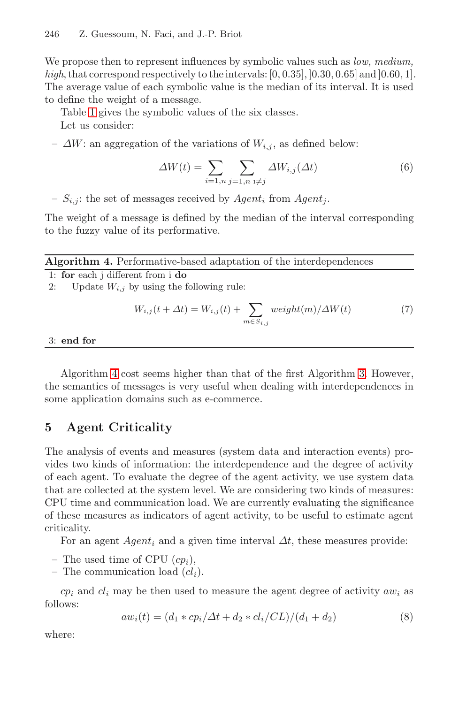We propose then to represent influences by symbolic values such as low, medium, high, that correspond respectively to the intervals:  $[0, 0.35]$ ,  $[0.30, 0.65]$  and  $[0.60, 1]$ . The average value of each symbolic value is the median of its interval. It is used to define the weight of a message.

Table 1 gives the symbolic values of the six classes.

Let us consider:

–  $\Delta W$ : an aggregation of the variations of  $W_{i,j}$ , as defined below:

$$
\Delta W(t) = \sum_{i=1, n} \sum_{j=1, n} \Delta W_{i,j}(\Delta t)
$$
\n(6)

–  $S_{i,j}$ : the set of messages received by  $Agent_i$  from  $Agent_i$ .

The weight of a message is defined by the median of the interval corresponding to the fuzzy value of its performative.

## **Algorithm 4.** Performative-based adaptation of the interdependences

$$
W_{i,j}(t + \Delta t) = W_{i,j}(t) + \sum_{m \in S_{i,j}} weight(m)/\Delta W(t)
$$
\n(7)

3: **end for**

Algorithm 4 cost seems higher than that of the first Algorithm 3. However, the semantics of messages is very useful when dealing with interdependences in some application domains such as e-commerce.

# **5 Agent Criticality**

The analysis of events and measures (system data and interaction events) provides two kinds of information: the interdependence and the degree of activity of each agent. To evaluate the degree of the agent activity, we use system data that are collected at the system level. We are considering two kinds of measures: CPU time and communication load. We are currently evaluating the significance of these measures as indicators of agent activity, to be useful to estimate agent criticality.

For an agent  $Agent_i$  and a given time interval  $\Delta t$ , these measures provide:

- The used time of CPU  $(cp_i)$ ,
- The communication load  $(cl_i)$ .

 $cp<sub>i</sub>$  and  $cl<sub>i</sub>$  may be then used to measure the agent degree of activity  $aw<sub>i</sub>$  as follows:

$$
aw_i(t) = (d_1 * cp_i/\Delta t + d_2 * cl_i/CL)/(d_1 + d_2)
$$
\n(8)

where:

<sup>1:</sup> **for** each j different from i **do**

<sup>2:</sup> Update  $W_{i,j}$  by using the following rule: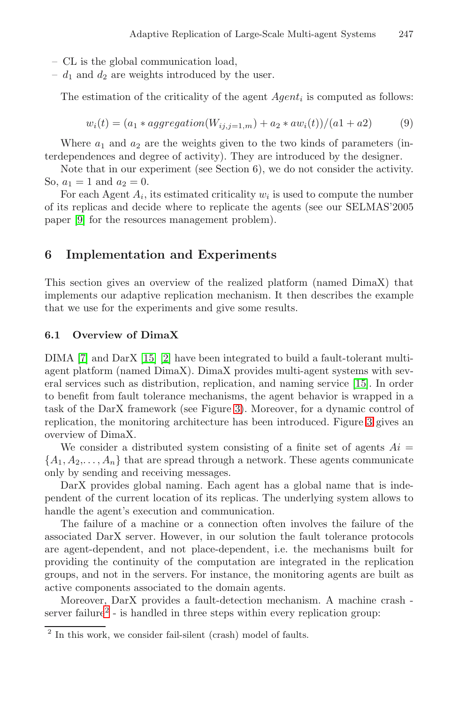– CL is the global communication load,

–  $d_1$  and  $d_2$  are weights introduced by the user.

The estimation of the criticality of the agent  $Agent_i$  is computed as follows:

$$
w_i(t) = (a_1 * aggregation(W_{ij,j=1,m}) + a_2 * aw_i(t))/(a_1 + a_2)
$$
(9)

Where  $a_1$  and  $a_2$  are the weights given to the two kinds of parameters (interdependences and degree of activity). They are introduced by the designer.

Note that in our experiment (see Section 6), we do not consider the activity. So,  $a_1 = 1$  and  $a_2 = 0$ .

For each Agent  $A_i$ , its estimated criticality  $w_i$  is used to compute the number of its replicas and decide where to replicate the agents (see our SELMAS'2005 paper [9] for the resources management problem).

### **6 [I](#page-15-7)[m](#page-14-7)plementation and Experiments**

This section gives an overview of the realized [pla](#page-15-7)tform (named DimaX) that implements our adaptive replication mechanism. It then describes the example that we use for the e[xpe](#page-10-0)riments and give some results.

#### **6.1 Overview of DimaX**

DIMA [7] and DarX [15] [2] have been integrated to build a fault-tolerant multiagent platform (named DimaX). DimaX provides multi-agent systems with several services such as distribution, replication, and naming service [15]. In order to benefit from fault tolerance mechanisms, the agent behavior is wrapped in a task of the DarX framework (see Figure 3). Moreover, for a dynamic control of replication, the monitoring architecture has been introduced. Figure 3 gives an overview of DimaX.

We consider a distributed system consisting of a finite set of agents  $Ai =$  ${A_1, A_2,..., A_n}$  that are spread through a network. These agents communicate only by sending and receiving messages.

DarX provides global naming. Each agent has a global name that is independent of the current location of its replicas. The underlying system allows to handle the agent's execution and communication.

The failure of a machine or a connection often involves the failure of the associated DarX server. However, in our solution the fault tolerance protocols are agent-dependent, and not place-dependent, i.e. the mechanisms built for providing the continuity of the computation are integrated in the replication groups, and not in the servers. For instance, the monitoring agents are built as active components associated to the domain agents.

Moreover, DarX provides a fault-detection mechanism. A machine crash -  $\rm server$  failure $^2$  - is handled in three steps within every replication group:

 $^{2}$  In this work, we consider fail-silent (crash) model of faults.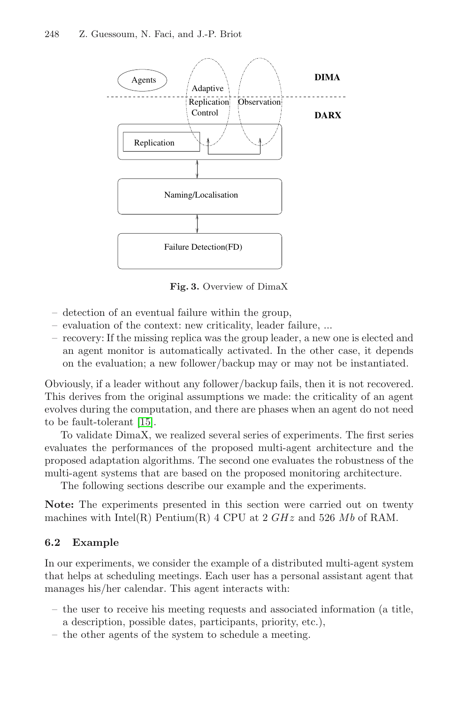

<span id="page-10-0"></span>**Fig. 3.** Overview of DimaX

- detection of an eventual failure within the group,
- [e](#page-15-7)valuation of the context: new criticality, leader failure, ...
- recovery: If the missing replica was the group leader, a new one is elected and an agent monitor is automatically activated. In the other case, it depends on the evaluation; a new follower/backup may or may not be instantiated.

Obviously, if a leader without any follower/backup fails, then it is not recovered. This derives from the original assumptions we made: the criticality of an agent evolves during the computation, and there are phases when an agent do not need to be fault-tolerant [15].

To validate DimaX, we realized several series of experiments. The first series evaluates the performances of the proposed multi-agent architecture and the proposed adaptation algorithms. The second one evaluates the robustness of the multi-agent systems that are based on the proposed monitoring architecture.

The following sections describe our example and the experiments.

**Note:** The experiments presented in this section were carried out on twenty machines with Intel(R) Pentium(R) 4 CPU at 2  $GHz$  and 526 Mb of RAM.

### **6.2 Example**

In our experiments, we consider the example of a distributed multi-agent system that helps at scheduling meetings. Each user has a personal assistant agent that manages his/her calendar. This agent interacts with:

- the user to receive his meeting requests and associated information (a title, a description, possible dates, participants, priority, etc.),
- the other agents of the system to schedule a meeting.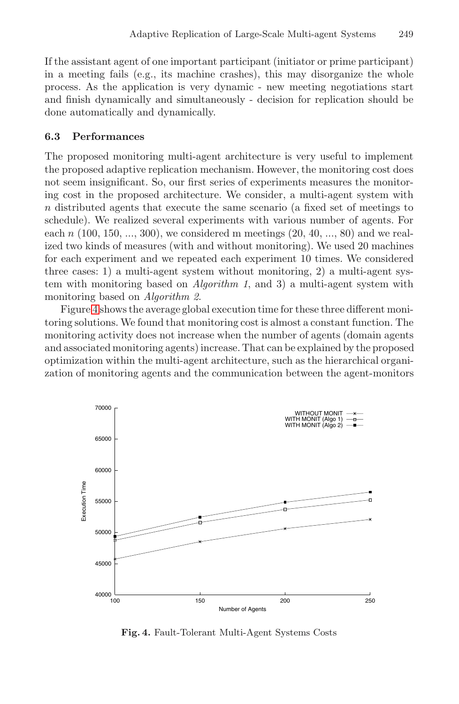If the assistant agent of one important participant (initiator or prime participant) in a meeting fails (e.g., its machine crashes), this may disorganize the whole process. As the application is very dynamic - new meeting negotiations start and finish dynamically and simultaneously - decision for replication should be done automatically and dynamically.

### **6.3 Performances**

The proposed monitoring multi-agent architecture is very useful to implement the proposed adaptive replication mechanism. However, the monitoring cost does not seem insignificant. So, our first series of experiments measures the monitoring cost in the proposed architecture. We consider, a multi-agent system with n distributed agents that execute the same scenario (a fixed set of meetings to schedule). We realized several experiments with various number of agents. For each  $n(100, 150, ..., 300)$ , we considered m meetings  $(20, 40, ..., 80)$  and we realized two kinds of measures (with and without monitoring). We used 20 machines for each experiment and we repeated each experiment 10 times. We considered three cases: 1) a multi-agent system without monitoring, 2) a multi-agent system with monitoring based on *Algorithm 1*, and 3) a multi-agent system with monitoring based on Algorithm 2.

Figure 4 shows the averageglobal execution time for these three different monitoring solutions. We found that monitoring cost is almost a constant function. The monitoring activity does not increase when the number of agents (domain agents and associated monitoring agents) increase. That can be explained by the proposed optimization within the multi-agent architecture, such as the hierarchical organization of monitoring agents and the communication between the agent-monitors



**Fig. 4.** Fault-Tolerant Multi-Agent Systems Costs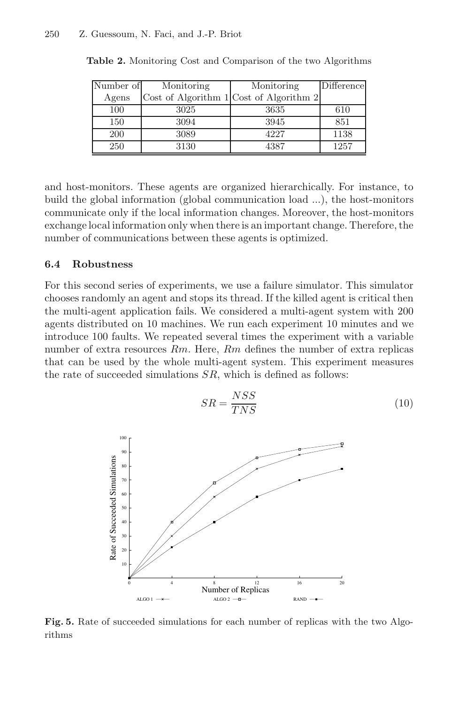| Number of  | Monitoring | Monitoring                                | Difference |
|------------|------------|-------------------------------------------|------------|
| Agens      |            | Cost of Algorithm $1$ Cost of Algorithm 2 |            |
| 100        | 3025       | 3635                                      | 610        |
| 150        | 3094       | 3945                                      | 851        |
| <b>200</b> | 3089       | 4227                                      | 1138       |
| 250        | 3130       | 4387                                      | 1257       |

**Table 2.** Monitoring Cost and Comparison of the two Algorithms

and host-monitors. These agents are organized hierarchically. For instance, to build the global information (global communication load ...), the host-monitors communicate only if the local information changes. Moreover, the host-monitors exchange local information only when there is an important change. Therefore, the number of communications between these agents is optimized.

### **6.4 Robustness**

For this second series of experiments, we use a failure simulator. This simulator chooses randomly an agent and stops its thread. If the killed agent is critical then the multi-agent application fails. We considered a multi-agent system with 200 agents distributed on 10 machines. We run each experiment 10 minutes and we introduce 100 faults. We repeated several times the experiment with a variable number of extra resources  $Rm$ . Here,  $Rm$  defines the number of extra replicas that can be used by the whole multi-agent system. This experiment measures the rate of succeeded simulations  $SR$ , which is defined as follows:

<span id="page-12-0"></span>
$$
SR = \frac{NSS}{TNS} \tag{10}
$$



**Fig. 5.** Rate of succeeded simulations for each number of replicas with the two Algorithms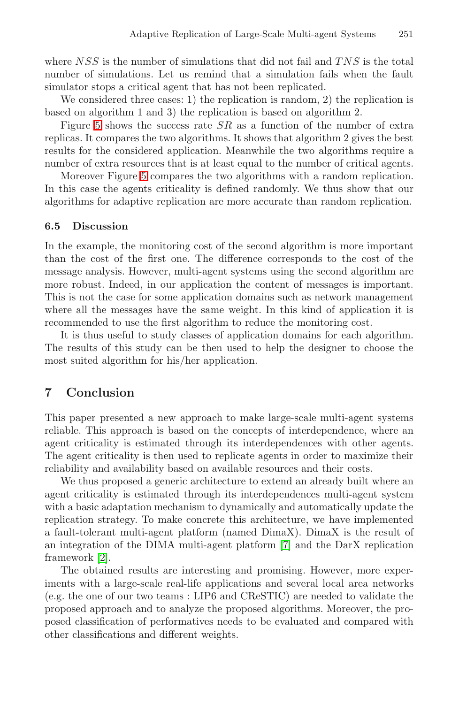where NSS is the number of simulations that did not fail and TNS is the total n[um](#page-12-0)ber of simulations. Let us remind that a simulation fails when the fault simulator stops a critical agent that has not been replicated.

We considered three cases: 1) the replication is random, 2) the replication is based on algorithm 1 and 3) the replication is based on algorithm 2.

Figure 5 shows the success rate  $SR$  as a function of the number of extra replicas. It compares the two algorithms. It shows that algorithm 2 gives the best results for the considered application. Meanwhile the two algorithms require a number of extra resources that is at least equal to the number of critical agents.

Moreover Figure 5 compares the two algorithms with a random replication. In this case the agents criticality is defined randomly. We thus show that our algorithms for adaptive replication are more accurate than random replication.

#### **6.5 Discussion**

In the example, the monitoring cost of the second algorithm is more important than the cost of the first one. The difference corresponds to the cost of the message analysis. However, multi-agent systems using the second algorithm are more robust. Indeed, in our application the content of messages is important. This is not the case for some application domains such as network management where all the messages have the same weight. In this kind of application it is recommended to use the first algorithm to reduce the monitoring cost.

It is thus useful to study classes of application domains for each algorithm. The results of this study can be then used to help the designer to choose the most suited algorithm for his/her application.

# **7 Conclusion**

This paper presented a new approach to make large-scale multi-agent systems reliable. This approach is based on the concepts of interdependence, where an agent criticality is estimated t[hro](#page-14-11)ugh its interdependences with other agents. The agent criticality is then used to replicate agents in order to maximize their reliability and availability based on available resources and their costs.

We thus proposed a generic architecture to extend an already built where an agent criticality is estimated through its interdependences multi-agent system with a basic adaptation mechanism to dynamically and automatically update the replication strategy. To make concrete this architecture, we have implemented a fault-tolerant multi-agent platform (named DimaX). DimaX is the result of an integration of the DIMA multi-agent platform [7] and the DarX replication framework [2].

The obtained results are interesting and promising. However, more experiments with a large-scale real-life applications and several local area networks (e.g. the one of our two teams : LIP6 and CReSTIC) are needed to validate the proposed approach and to analyze the proposed algorithms. Moreover, the proposed classification of performatives needs to be evaluated and compared with other classifications and different weights.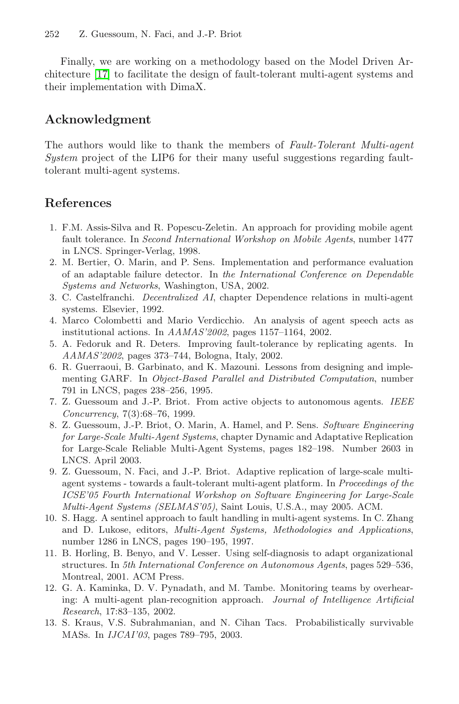Finally, we are working on a methodology based on the Model Driven Architecture [17] to facilitate the design of fault-tolerant multi-agent systems and their implementation with DimaX.

# <span id="page-14-3"></span><span id="page-14-0"></span>**Acknowledgment**

<span id="page-14-7"></span>The authors would like to thank the members of Fault-Tolerant Multi-agent System project of the LIP6 for their many useful suggestions regarding faulttolerant multi-agent systems.

### <span id="page-14-10"></span><span id="page-14-9"></span><span id="page-14-5"></span>**References**

- 1. F.M. Assis-Silva and R. Popescu-Zeletin. An approach for providing mobile agent fault tolerance. In Second International Workshop on Mobile Agents, number 1477 in LNCS. Springer-Verlag, 1998.
- <span id="page-14-4"></span>2. M. Bertier, O. Marin, and P. Sens. Implementation and performance evaluation of an adaptable failure detector. In the International Conference on Dependable Systems and Networks, Washington, USA, 2002.
- <span id="page-14-11"></span>3. C. Castelfranchi. Decentralized AI, chapter Dependence relations in multi-agent systems. Elsevier, 1992.
- <span id="page-14-8"></span>4. Marco Colombetti and Mario Verdicchio. An analysis of agent speech acts as institutional actions. In AAMAS'2002, pages 1157–1164, 2002.
- 5. A. Fedoruk and R. Deters. Improving fault-tolerance by replicating agents. In AAMAS'2002, pages 373–744, Bologna, Italy, 2002.
- 6. R. Guerraoui, B. Garbinato, and K. Mazouni. Lessons from designing and implementing GARF. In Object-Based Parallel and Distributed Computation, number 791 in LNCS, pages 238–256, 1995.
- 7. Z. Guessoum and J.-P. Briot. From active objects to autonomous agents. IEEE Concurrency, 7(3):68–76, 1999.
- <span id="page-14-2"></span>8. Z. Guessoum, J.-P. Briot, O. Marin, A. Hamel, and P. Sens. Software Engineering for Large-Scale Multi-Agent Systems, chapter Dynamic and Adaptative Replication for Large-Scale Reliable Multi-Agent Systems, pages 182–198. Number 2603 in LNCS. April 2003.
- <span id="page-14-1"></span>9. Z. Guessoum, N. Faci, and J.-P. Briot. Adaptive replication of large-scale multiagent systems - towards a fault-tolerant multi-agent platform. In Proceedings of the ICSE'05 Fourth International Workshop on Software Engineering for Large-Scale Multi-Agent Systems (SELMAS'05), Saint Louis, U.S.A., may 2005. ACM.
- <span id="page-14-6"></span>10. S. Hagg. A sentinel approach to fault handling in multi-agent systems. In C. Zhang and D. Lukose, editors, Multi-Agent Systems, Methodologies and Applications, number 1286 in LNCS, pages 190–195, 1997.
- 11. B. Horling, B. Benyo, and V. Lesser. Using self-diagnosis to adapt organizational structures. In 5th International Conference on Autonomous Agents, pages 529–536, Montreal, 2001. ACM Press.
- 12. G. A. Kaminka, D. V. Pynadath, and M. Tambe. Monitoring teams by overhearing: A multi-agent plan-recognition approach. Journal of Intelligence Artificial Research, 17:83–135, 2002.
- 13. S. Kraus, V.S. Subrahmanian, and N. Cihan Tacs. Probabilistically survivable MASs. In IJCAI'03, pages 789–795, 2003.